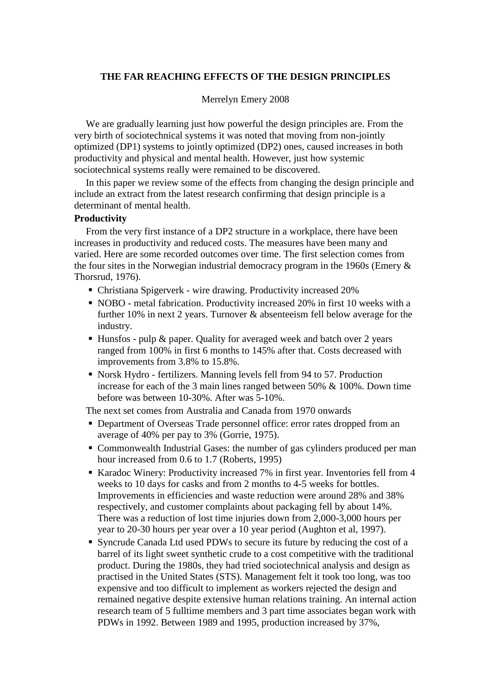### **THE FAR REACHING EFFECTS OF THE DESIGN PRINCIPLES**

#### Merrelyn Emery 2008

We are gradually learning just how powerful the design principles are. From the very birth of sociotechnical systems it was noted that moving from non-jointly optimized (DP1) systems to jointly optimized (DP2) ones, caused increases in both productivity and physical and mental health. However, just how systemic sociotechnical systems really were remained to be discovered.

In this paper we review some of the effects from changing the design principle and include an extract from the latest research confirming that design principle is a determinant of mental health.

### **Productivity**

From the very first instance of a DP2 structure in a workplace, there have been increases in productivity and reduced costs. The measures have been many and varied. Here are some recorded outcomes over time. The first selection comes from the four sites in the Norwegian industrial democracy program in the 1960s (Emery & Thorsrud, 1976).

- Christiana Spigerverk wire drawing. Productivity increased 20%
- NOBO metal fabrication. Productivity increased 20% in first 10 weeks with a further 10% in next 2 years. Turnover & absenteeism fell below average for the industry.
- $\blacksquare$  Hunsfos pulp & paper. Quality for averaged week and batch over 2 years ranged from 100% in first 6 months to 145% after that. Costs decreased with improvements from 3.8% to 15.8%.
- Norsk Hydro fertilizers. Manning levels fell from 94 to 57. Production increase for each of the 3 main lines ranged between 50% & 100%. Down time before was between 10-30%. After was 5-10%.

The next set comes from Australia and Canada from 1970 onwards

- **Department of Overseas Trade personnel office: error rates dropped from an** average of 40% per pay to 3% (Gorrie, 1975).
- Commonwealth Industrial Gases: the number of gas cylinders produced per man hour increased from 0.6 to 1.7 (Roberts, 1995)
- Karadoc Winery: Productivity increased 7% in first year. Inventories fell from 4 weeks to 10 days for casks and from 2 months to 4-5 weeks for bottles. Improvements in efficiencies and waste reduction were around 28% and 38% respectively, and customer complaints about packaging fell by about 14%. There was a reduction of lost time injuries down from 2,000-3,000 hours per year to 20-30 hours per year over a 10 year period (Aughton et al, 1997).
- Syncrude Canada Ltd used PDWs to secure its future by reducing the cost of a barrel of its light sweet synthetic crude to a cost competitive with the traditional product. During the 1980s, they had tried sociotechnical analysis and design as practised in the United States (STS). Management felt it took too long, was too expensive and too difficult to implement as workers rejected the design and remained negative despite extensive human relations training. An internal action research team of 5 fulltime members and 3 part time associates began work with PDWs in 1992. Between 1989 and 1995, production increased by 37%,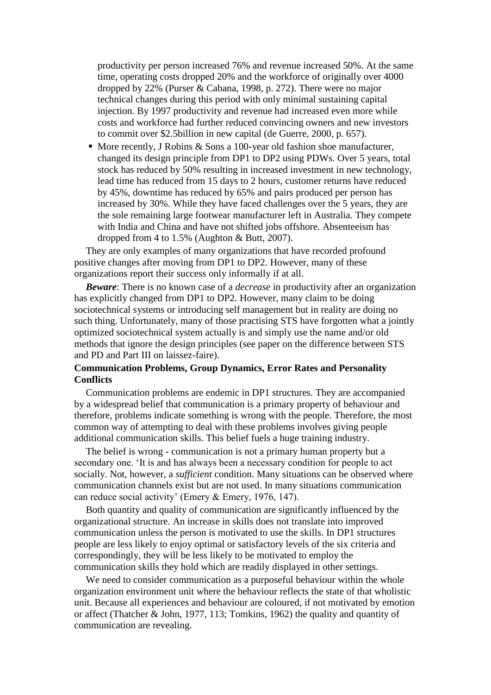productivity per person increased 76% and revenue increased 50%. At the same time, operating costs dropped 20% and the workforce of originally over 4000 dropped by 22% (Purser & Cabana, 1998, p. 272). There were no major technical changes during this period with only minimal sustaining capital injection. By 1997 productivity and revenue had increased even more while costs and workforce had further reduced convincing owners and new investors to commit over \$2.5billion in new capital (de Guerre, 2000, p. 657).

■ More recently, J Robins & Sons a 100-year old fashion shoe manufacturer, changed its design principle from DP1 to DP2 using PDWs. Over 5 years, total stock has reduced by 50% resulting in increased investment in new technology, lead time has reduced from 15 days to 2 hours, customer returns have reduced by 45%, downtime has reduced by 65% and pairs produced per person has increased by 30%. While they have faced challenges over the 5 years, they are the sole remaining large footwear manufacturer left in Australia. They compete with India and China and have not shifted jobs offshore. Absenteeism has dropped from 4 to 1.5% (Aughton & Butt, 2007).

They are only examples of many organizations that have recorded profound positive changes after moving from DP1 to DP2. However, many of these organizations report their success only informally if at all.

*Beware*: There is no known case of a *decrease* in productivity after an organization has explicitly changed from DP1 to DP2. However, many claim to be doing sociotechnical systems or introducing self management but in reality are doing no such thing. Unfortunately, many of those practising STS have forgotten what a jointly optimized sociotechnical system actually is and simply use the name and/or old methods that ignore the design principles (see paper on the difference between STS and PD and Part III on laissez-faire).

### **Communication Problems, Group Dynamics, Error Rates and Personality Conflicts**

Communication problems are endemic in DP1 structures. They are accompanied by a widespread belief that communication is a primary property of behaviour and therefore, problems indicate something is wrong with the people. Therefore, the most common way of attempting to deal with these problems involves giving people additional communication skills. This belief fuels a huge training industry.

The belief is wrong - communication is not a primary human property but a secondary one. 'It is and has always been a necessary condition for people to act socially. Not, however, a *sufficient* condition. Many situations can be observed where communication channels exist but are not used. In many situations communication can reduce social activity' (Emery & Emery, 1976, 147).

Both quantity and quality of communication are significantly influenced by the organizational structure. An increase in skills does not translate into improved communication unless the person is motivated to use the skills. In DP1 structures people are less likely to enjoy optimal or satisfactory levels of the six criteria and correspondingly, they will be less likely to be motivated to employ the communication skills they hold which are readily displayed in other settings.

We need to consider communication as a purposeful behaviour within the whole organization environment unit where the behaviour reflects the state of that wholistic unit. Because all experiences and behaviour are coloured, if not motivated by emotion or affect (Thatcher & John, 1977, 113; Tomkins, 1962) the quality and quantity of communication are revealing.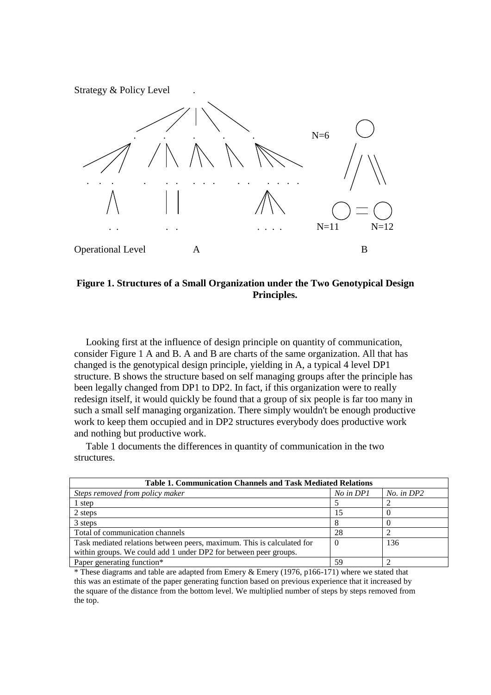Strategy & Policy Level .



### **Figure 1. Structures of a Small Organization under the Two Genotypical Design Principles.**

Looking first at the influence of design principle on quantity of communication, consider Figure 1 A and B. A and B are charts of the same organization. All that has changed is the genotypical design principle, yielding in A, a typical 4 level DP1 structure. B shows the structure based on self managing groups after the principle has been legally changed from DP1 to DP2. In fact, if this organization were to really redesign itself, it would quickly be found that a group of six people is far too many in such a small self managing organization. There simply wouldn't be enough productive work to keep them occupied and in DP2 structures everybody does productive work and nothing but productive work.

Table 1 documents the differences in quantity of communication in the two structures.

| <b>Table 1. Communication Channels and Task Mediated Relations</b>     |           |                |  |
|------------------------------------------------------------------------|-----------|----------------|--|
| Steps removed from policy maker                                        | No in DP1 | $No.$ in $DP2$ |  |
| 1 step                                                                 |           |                |  |
| 2 steps                                                                |           |                |  |
| 3 steps                                                                |           |                |  |
| Total of communication channels                                        | 28        |                |  |
| Task mediated relations between peers, maximum. This is calculated for | 0         | 136            |  |
| within groups. We could add 1 under DP2 for between peer groups.       |           |                |  |
| Paper generating function*                                             | 59        |                |  |

\* These diagrams and table are adapted from Emery & Emery (1976, p166-171) where we stated that this was an estimate of the paper generating function based on previous experience that it increased by the square of the distance from the bottom level. We multiplied number of steps by steps removed from the top.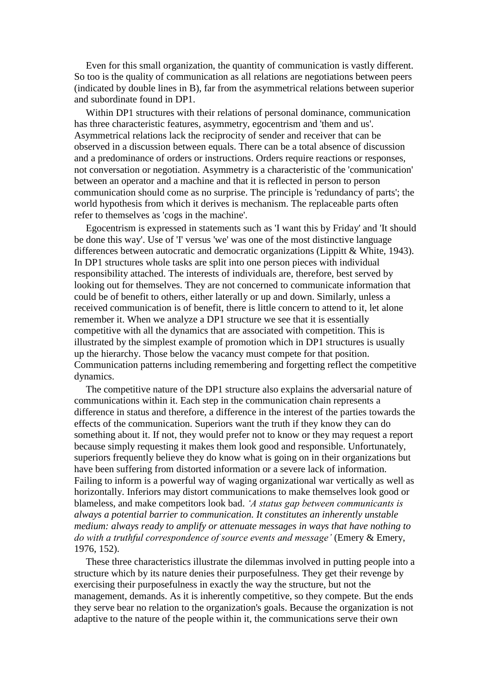Even for this small organization, the quantity of communication is vastly different. So too is the quality of communication as all relations are negotiations between peers (indicated by double lines in B), far from the asymmetrical relations between superior and subordinate found in DP1.

Within DP1 structures with their relations of personal dominance, communication has three characteristic features, asymmetry, egocentrism and 'them and us'. Asymmetrical relations lack the reciprocity of sender and receiver that can be observed in a discussion between equals. There can be a total absence of discussion and a predominance of orders or instructions. Orders require reactions or responses, not conversation or negotiation. Asymmetry is a characteristic of the 'communication' between an operator and a machine and that it is reflected in person to person communication should come as no surprise. The principle is 'redundancy of parts'; the world hypothesis from which it derives is mechanism. The replaceable parts often refer to themselves as 'cogs in the machine'.

Egocentrism is expressed in statements such as 'I want this by Friday' and 'It should be done this way'. Use of 'I' versus 'we' was one of the most distinctive language differences between autocratic and democratic organizations (Lippitt & White, 1943). In DP1 structures whole tasks are split into one person pieces with individual responsibility attached. The interests of individuals are, therefore, best served by looking out for themselves. They are not concerned to communicate information that could be of benefit to others, either laterally or up and down. Similarly, unless a received communication is of benefit, there is little concern to attend to it, let alone remember it. When we analyze a DP1 structure we see that it is essentially competitive with all the dynamics that are associated with competition. This is illustrated by the simplest example of promotion which in DP1 structures is usually up the hierarchy. Those below the vacancy must compete for that position. Communication patterns including remembering and forgetting reflect the competitive dynamics.

The competitive nature of the DP1 structure also explains the adversarial nature of communications within it. Each step in the communication chain represents a difference in status and therefore, a difference in the interest of the parties towards the effects of the communication. Superiors want the truth if they know they can do something about it. If not, they would prefer not to know or they may request a report because simply requesting it makes them look good and responsible. Unfortunately, superiors frequently believe they do know what is going on in their organizations but have been suffering from distorted information or a severe lack of information. Failing to inform is a powerful way of waging organizational war vertically as well as horizontally. Inferiors may distort communications to make themselves look good or blameless, and make competitors look bad. *'A status gap between communicants is always a potential barrier to communication. It constitutes an inherently unstable medium: always ready to amplify or attenuate messages in ways that have nothing to do with a truthful correspondence of source events and message'* (Emery & Emery, 1976, 152).

These three characteristics illustrate the dilemmas involved in putting people into a structure which by its nature denies their purposefulness. They get their revenge by exercising their purposefulness in exactly the way the structure, but not the management, demands. As it is inherently competitive, so they compete. But the ends they serve bear no relation to the organization's goals. Because the organization is not adaptive to the nature of the people within it, the communications serve their own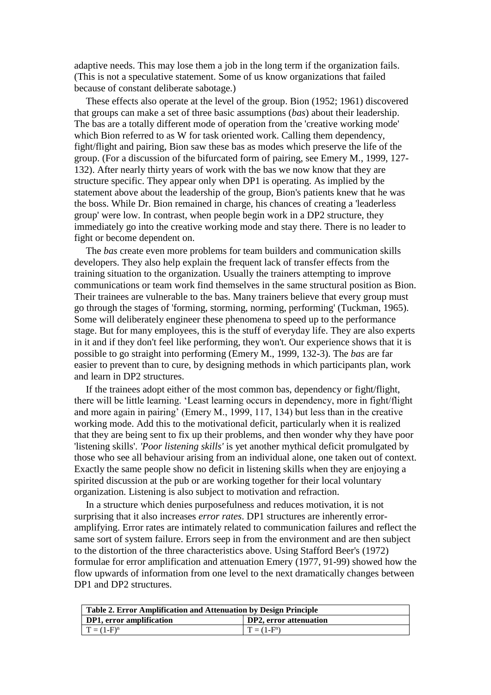adaptive needs. This may lose them a job in the long term if the organization fails. (This is not a speculative statement. Some of us know organizations that failed because of constant deliberate sabotage.)

These effects also operate at the level of the group. Bion (1952; 1961) discovered that groups can make a set of three basic assumptions (*bas*) about their leadership. The bas are a totally different mode of operation from the 'creative working mode' which Bion referred to as W for task oriented work. Calling them dependency, fight/flight and pairing, Bion saw these bas as modes which preserve the life of the group. (For a discussion of the bifurcated form of pairing, see Emery M., 1999, 127- 132). After nearly thirty years of work with the bas we now know that they are structure specific. They appear only when DP1 is operating. As implied by the statement above about the leadership of the group, Bion's patients knew that he was the boss. While Dr. Bion remained in charge, his chances of creating a 'leaderless group' were low. In contrast, when people begin work in a DP2 structure, they immediately go into the creative working mode and stay there. There is no leader to fight or become dependent on.

The *bas* create even more problems for team builders and communication skills developers. They also help explain the frequent lack of transfer effects from the training situation to the organization. Usually the trainers attempting to improve communications or team work find themselves in the same structural position as Bion. Their trainees are vulnerable to the bas. Many trainers believe that every group must go through the stages of 'forming, storming, norming, performing' (Tuckman, 1965). Some will deliberately engineer these phenomena to speed up to the performance stage. But for many employees, this is the stuff of everyday life. They are also experts in it and if they don't feel like performing, they won't. Our experience shows that it is possible to go straight into performing (Emery M., 1999, 132-3). The *bas* are far easier to prevent than to cure, by designing methods in which participants plan, work and learn in DP2 structures.

If the trainees adopt either of the most common bas, dependency or fight/flight, there will be little learning. 'Least learning occurs in dependency, more in fight/flight and more again in pairing' (Emery M., 1999, 117, 134) but less than in the creative working mode. Add this to the motivational deficit, particularly when it is realized that they are being sent to fix up their problems, and then wonder why they have poor 'listening skills'. *'Poor listening skills'* is yet another mythical deficit promulgated by those who see all behaviour arising from an individual alone, one taken out of context. Exactly the same people show no deficit in listening skills when they are enjoying a spirited discussion at the pub or are working together for their local voluntary organization. Listening is also subject to motivation and refraction.

In a structure which denies purposefulness and reduces motivation, it is not surprising that it also increases *error rates*. DP1 structures are inherently erroramplifying. Error rates are intimately related to communication failures and reflect the same sort of system failure. Errors seep in from the environment and are then subject to the distortion of the three characteristics above. Using Stafford Beer's (1972) formulae for error amplification and attenuation Emery (1977, 91-99) showed how the flow upwards of information from one level to the next dramatically changes between DP1 and DP2 structures.

| Table 2. Error Amplification and Attenuation by Design Principle |                        |  |
|------------------------------------------------------------------|------------------------|--|
| DP1, error amplification                                         | DP2, error attenuation |  |
| $T = (1 - F)^n$                                                  | $T = (1 - F^n)$        |  |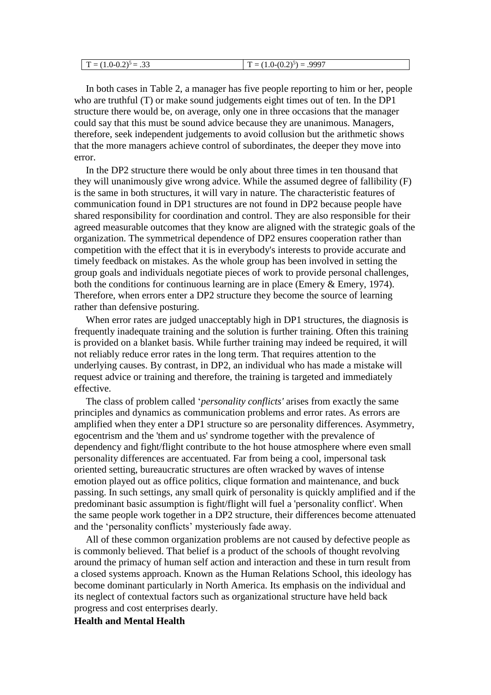| $\sim$<br>m<br>כור<br>$\overline{\phantom{0}}$<br>- -<br>$\overline{\phantom{0}}$<br>$\overline{\phantom{a}}$<br>$-$<br>v.∠<br>1.V<br>. | .9997<br>$(0.25) - 1$<br>$\mathbf{r}$<br>$U \cdot \mathcal{L}$<br>1 T . A |
|-----------------------------------------------------------------------------------------------------------------------------------------|---------------------------------------------------------------------------|
|-----------------------------------------------------------------------------------------------------------------------------------------|---------------------------------------------------------------------------|

In both cases in Table 2, a manager has five people reporting to him or her, people who are truthful (T) or make sound judgements eight times out of ten. In the DP1 structure there would be, on average, only one in three occasions that the manager could say that this must be sound advice because they are unanimous. Managers, therefore, seek independent judgements to avoid collusion but the arithmetic shows that the more managers achieve control of subordinates, the deeper they move into error.

In the DP2 structure there would be only about three times in ten thousand that they will unanimously give wrong advice. While the assumed degree of fallibility (F) is the same in both structures, it will vary in nature. The characteristic features of communication found in DP1 structures are not found in DP2 because people have shared responsibility for coordination and control. They are also responsible for their agreed measurable outcomes that they know are aligned with the strategic goals of the organization. The symmetrical dependence of DP2 ensures cooperation rather than competition with the effect that it is in everybody's interests to provide accurate and timely feedback on mistakes. As the whole group has been involved in setting the group goals and individuals negotiate pieces of work to provide personal challenges, both the conditions for continuous learning are in place (Emery & Emery, 1974). Therefore, when errors enter a DP2 structure they become the source of learning rather than defensive posturing.

When error rates are judged unacceptably high in DP1 structures, the diagnosis is frequently inadequate training and the solution is further training. Often this training is provided on a blanket basis. While further training may indeed be required, it will not reliably reduce error rates in the long term. That requires attention to the underlying causes. By contrast, in DP2, an individual who has made a mistake will request advice or training and therefore, the training is targeted and immediately effective.

The class of problem called '*personality conflicts'* arises from exactly the same principles and dynamics as communication problems and error rates. As errors are amplified when they enter a DP1 structure so are personality differences. Asymmetry, egocentrism and the 'them and us' syndrome together with the prevalence of dependency and fight/flight contribute to the hot house atmosphere where even small personality differences are accentuated. Far from being a cool, impersonal task oriented setting, bureaucratic structures are often wracked by waves of intense emotion played out as office politics, clique formation and maintenance, and buck passing. In such settings, any small quirk of personality is quickly amplified and if the predominant basic assumption is fight/flight will fuel a 'personality conflict'. When the same people work together in a DP2 structure, their differences become attenuated and the 'personality conflicts' mysteriously fade away.

All of these common organization problems are not caused by defective people as is commonly believed. That belief is a product of the schools of thought revolving around the primacy of human self action and interaction and these in turn result from a closed systems approach. Known as the Human Relations School, this ideology has become dominant particularly in North America. Its emphasis on the individual and its neglect of contextual factors such as organizational structure have held back progress and cost enterprises dearly.

**Health and Mental Health**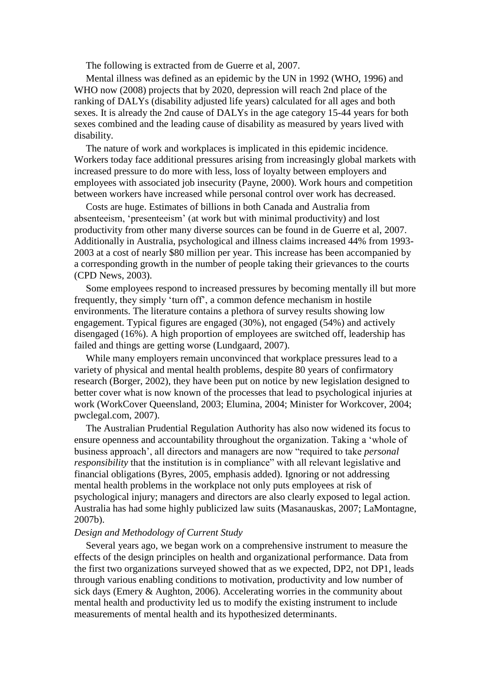The following is extracted from de Guerre et al, 2007.

Mental illness was defined as an epidemic by the UN in 1992 (WHO, 1996) and WHO now (2008) projects that by 2020, depression will reach 2nd place of the ranking of DALYs (disability adjusted life years) calculated for all ages and both sexes. It is already the 2nd cause of DALYs in the age category 15-44 years for both sexes combined and the leading cause of disability as measured by years lived with disability.

The nature of work and workplaces is implicated in this epidemic incidence. Workers today face additional pressures arising from increasingly global markets with increased pressure to do more with less, loss of loyalty between employers and employees with associated job insecurity (Payne, 2000). Work hours and competition between workers have increased while personal control over work has decreased.

Costs are huge. Estimates of billions in both Canada and Australia from absenteeism, 'presenteeism' (at work but with minimal productivity) and lost productivity from other many diverse sources can be found in de Guerre et al, 2007. Additionally in Australia, psychological and illness claims increased 44% from 1993- 2003 at a cost of nearly \$80 million per year. This increase has been accompanied by a corresponding growth in the number of people taking their grievances to the courts (CPD News, 2003).

Some employees respond to increased pressures by becoming mentally ill but more frequently, they simply 'turn off', a common defence mechanism in hostile environments. The literature contains a plethora of survey results showing low engagement. Typical figures are engaged (30%), not engaged (54%) and actively disengaged (16%). A high proportion of employees are switched off, leadership has failed and things are getting worse (Lundgaard, 2007).

While many employers remain unconvinced that workplace pressures lead to a variety of physical and mental health problems, despite 80 years of confirmatory research (Borger, 2002), they have been put on notice by new legislation designed to better cover what is now known of the processes that lead to psychological injuries at work (WorkCover Queensland, 2003; Elumina, 2004; Minister for Workcover, 2004; pwclegal.com, 2007).

The Australian Prudential Regulation Authority has also now widened its focus to ensure openness and accountability throughout the organization. Taking a 'whole of business approach', all directors and managers are now "required to take *personal responsibility* that the institution is in compliance" with all relevant legislative and financial obligations (Byres, 2005, emphasis added). Ignoring or not addressing mental health problems in the workplace not only puts employees at risk of psychological injury; managers and directors are also clearly exposed to legal action. Australia has had some highly publicized law suits (Masanauskas, 2007; LaMontagne, 2007b).

#### *Design and Methodology of Current Study*

Several years ago, we began work on a comprehensive instrument to measure the effects of the design principles on health and organizational performance. Data from the first two organizations surveyed showed that as we expected, DP2, not DP1, leads through various enabling conditions to motivation, productivity and low number of sick days (Emery & Aughton, 2006). Accelerating worries in the community about mental health and productivity led us to modify the existing instrument to include measurements of mental health and its hypothesized determinants.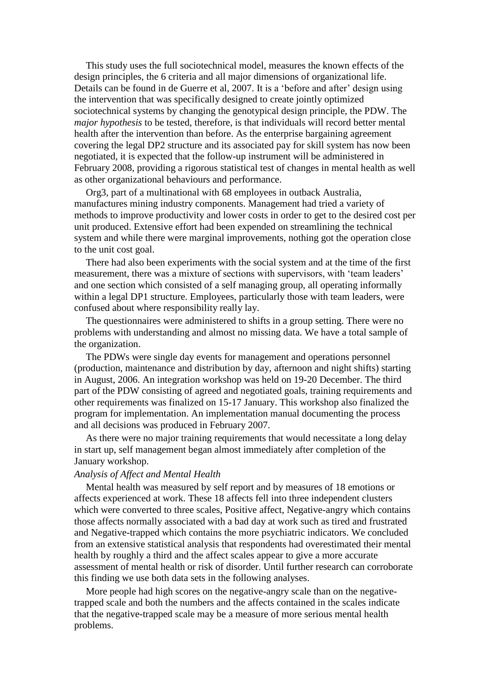This study uses the full sociotechnical model, measures the known effects of the design principles, the 6 criteria and all major dimensions of organizational life. Details can be found in de Guerre et al, 2007. It is a 'before and after' design using the intervention that was specifically designed to create jointly optimized sociotechnical systems by changing the genotypical design principle, the PDW. The *major hypothesis* to be tested, therefore, is that individuals will record better mental health after the intervention than before. As the enterprise bargaining agreement covering the legal DP2 structure and its associated pay for skill system has now been negotiated, it is expected that the follow-up instrument will be administered in February 2008, providing a rigorous statistical test of changes in mental health as well as other organizational behaviours and performance.

Org3, part of a multinational with 68 employees in outback Australia, manufactures mining industry components. Management had tried a variety of methods to improve productivity and lower costs in order to get to the desired cost per unit produced. Extensive effort had been expended on streamlining the technical system and while there were marginal improvements, nothing got the operation close to the unit cost goal.

There had also been experiments with the social system and at the time of the first measurement, there was a mixture of sections with supervisors, with 'team leaders' and one section which consisted of a self managing group, all operating informally within a legal DP1 structure. Employees, particularly those with team leaders, were confused about where responsibility really lay.

The questionnaires were administered to shifts in a group setting. There were no problems with understanding and almost no missing data. We have a total sample of the organization.

The PDWs were single day events for management and operations personnel (production, maintenance and distribution by day, afternoon and night shifts) starting in August, 2006. An integration workshop was held on 19-20 December. The third part of the PDW consisting of agreed and negotiated goals, training requirements and other requirements was finalized on 15-17 January. This workshop also finalized the program for implementation. An implementation manual documenting the process and all decisions was produced in February 2007.

As there were no major training requirements that would necessitate a long delay in start up, self management began almost immediately after completion of the January workshop.

### *Analysis of Affect and Mental Health*

Mental health was measured by self report and by measures of 18 emotions or affects experienced at work. These 18 affects fell into three independent clusters which were converted to three scales, Positive affect, Negative-angry which contains those affects normally associated with a bad day at work such as tired and frustrated and Negative-trapped which contains the more psychiatric indicators. We concluded from an extensive statistical analysis that respondents had overestimated their mental health by roughly a third and the affect scales appear to give a more accurate assessment of mental health or risk of disorder. Until further research can corroborate this finding we use both data sets in the following analyses.

More people had high scores on the negative-angry scale than on the negativetrapped scale and both the numbers and the affects contained in the scales indicate that the negative-trapped scale may be a measure of more serious mental health problems.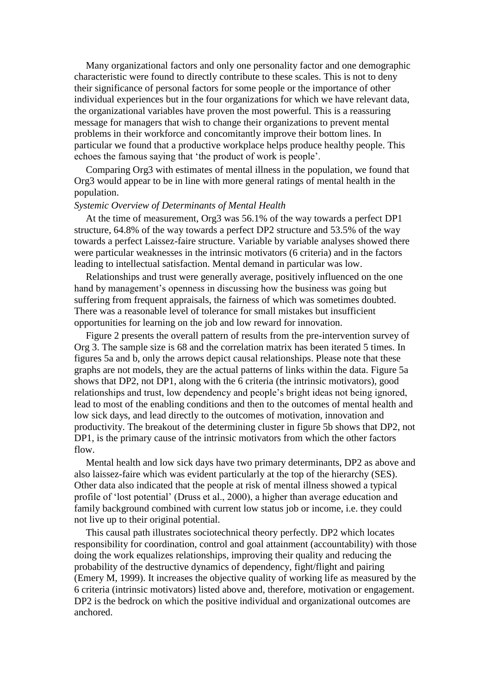Many organizational factors and only one personality factor and one demographic characteristic were found to directly contribute to these scales. This is not to deny their significance of personal factors for some people or the importance of other individual experiences but in the four organizations for which we have relevant data, the organizational variables have proven the most powerful. This is a reassuring message for managers that wish to change their organizations to prevent mental problems in their workforce and concomitantly improve their bottom lines. In particular we found that a productive workplace helps produce healthy people. This echoes the famous saying that 'the product of work is people'.

Comparing Org3 with estimates of mental illness in the population, we found that Org3 would appear to be in line with more general ratings of mental health in the population.

### *Systemic Overview of Determinants of Mental Health*

At the time of measurement, Org3 was 56.1% of the way towards a perfect DP1 structure, 64.8% of the way towards a perfect DP2 structure and 53.5% of the way towards a perfect Laissez-faire structure. Variable by variable analyses showed there were particular weaknesses in the intrinsic motivators (6 criteria) and in the factors leading to intellectual satisfaction. Mental demand in particular was low.

Relationships and trust were generally average, positively influenced on the one hand by management's openness in discussing how the business was going but suffering from frequent appraisals, the fairness of which was sometimes doubted. There was a reasonable level of tolerance for small mistakes but insufficient opportunities for learning on the job and low reward for innovation.

Figure 2 presents the overall pattern of results from the pre-intervention survey of Org 3. The sample size is 68 and the correlation matrix has been iterated 5 times. In figures 5a and b, only the arrows depict causal relationships. Please note that these graphs are not models, they are the actual patterns of links within the data. Figure 5a shows that DP2, not DP1, along with the 6 criteria (the intrinsic motivators), good relationships and trust, low dependency and people's bright ideas not being ignored, lead to most of the enabling conditions and then to the outcomes of mental health and low sick days, and lead directly to the outcomes of motivation, innovation and productivity. The breakout of the determining cluster in figure 5b shows that DP2, not DP1, is the primary cause of the intrinsic motivators from which the other factors flow.

Mental health and low sick days have two primary determinants, DP2 as above and also laissez-faire which was evident particularly at the top of the hierarchy (SES). Other data also indicated that the people at risk of mental illness showed a typical profile of 'lost potential' (Druss et al., 2000), a higher than average education and family background combined with current low status job or income, i.e. they could not live up to their original potential.

This causal path illustrates sociotechnical theory perfectly. DP2 which locates responsibility for coordination, control and goal attainment (accountability) with those doing the work equalizes relationships, improving their quality and reducing the probability of the destructive dynamics of dependency, fight/flight and pairing (Emery M, 1999). It increases the objective quality of working life as measured by the 6 criteria (intrinsic motivators) listed above and, therefore, motivation or engagement. DP2 is the bedrock on which the positive individual and organizational outcomes are anchored.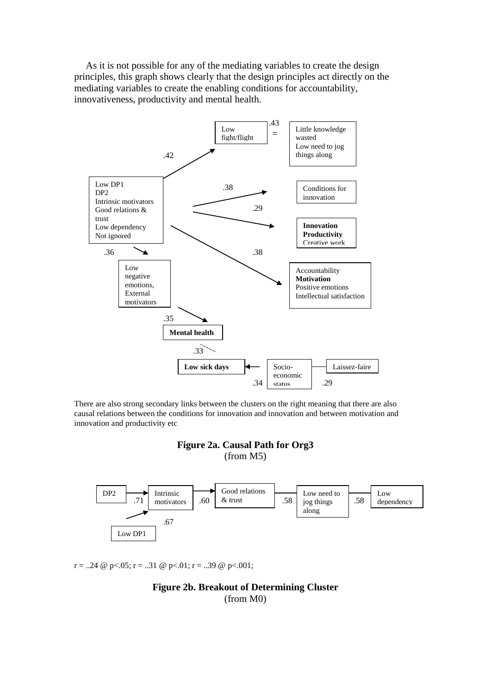As it is not possible for any of the mediating variables to create the design principles, this graph shows clearly that the design principles act directly on the mediating variables to create the enabling conditions for accountability, innovativeness, productivity and mental health.



There are also strong secondary links between the clusters on the right meaning that there are also causal relations between the conditions for innovation and innovation and between motivation and innovation and productivity etc

# **Figure 2a. Causal Path for Org3**

(from M5)



 $r = 0.24 \& p < 0.05$ ;  $r = 0.31 \& p < 0.01$ ;  $r = 0.39 \& p < 0.001$ ;

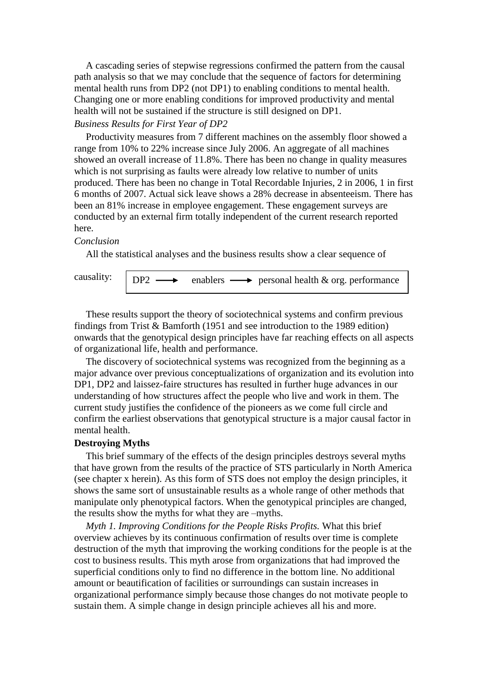A cascading series of stepwise regressions confirmed the pattern from the causal path analysis so that we may conclude that the sequence of factors for determining mental health runs from DP2 (not DP1) to enabling conditions to mental health. Changing one or more enabling conditions for improved productivity and mental health will not be sustained if the structure is still designed on DP1.

# *Business Results for First Year of DP2*

Productivity measures from 7 different machines on the assembly floor showed a range from 10% to 22% increase since July 2006. An aggregate of all machines showed an overall increase of 11.8%. There has been no change in quality measures which is not surprising as faults were already low relative to number of units produced. There has been no change in Total Recordable Injuries, 2 in 2006, 1 in first 6 months of 2007. Actual sick leave shows a 28% decrease in absenteeism. There has been an 81% increase in employee engagement. These engagement surveys are conducted by an external firm totally independent of the current research reported here.

#### *Conclusion*

All the statistical analyses and the business results show a clear sequence of

causality:

 $DP2 \longrightarrow$  enablers  $\longrightarrow$  personal health & org. performance

These results support the theory of sociotechnical systems and confirm previous findings from Trist & Bamforth (1951 and see introduction to the 1989 edition) onwards that the genotypical design principles have far reaching effects on all aspects of organizational life, health and performance.

The discovery of sociotechnical systems was recognized from the beginning as a major advance over previous conceptualizations of organization and its evolution into DP1, DP2 and laissez-faire structures has resulted in further huge advances in our understanding of how structures affect the people who live and work in them. The current study justifies the confidence of the pioneers as we come full circle and confirm the earliest observations that genotypical structure is a major causal factor in mental health.

#### **Destroying Myths**

This brief summary of the effects of the design principles destroys several myths that have grown from the results of the practice of STS particularly in North America (see chapter x herein). As this form of STS does not employ the design principles, it shows the same sort of unsustainable results as a whole range of other methods that manipulate only phenotypical factors. When the genotypical principles are changed, the results show the myths for what they are –myths.

*Myth 1. Improving Conditions for the People Risks Profits.* What this brief overview achieves by its continuous confirmation of results over time is complete destruction of the myth that improving the working conditions for the people is at the cost to business results. This myth arose from organizations that had improved the superficial conditions only to find no difference in the bottom line. No additional amount or beautification of facilities or surroundings can sustain increases in organizational performance simply because those changes do not motivate people to sustain them. A simple change in design principle achieves all his and more.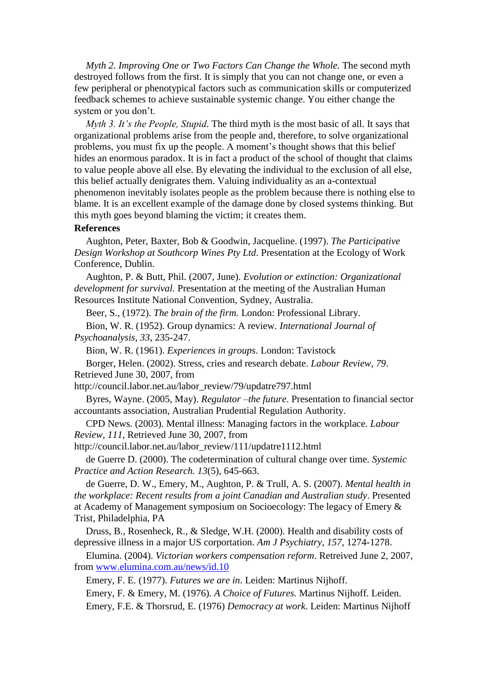*Myth 2. Improving One or Two Factors Can Change the Whole. The second myth* destroyed follows from the first. It is simply that you can not change one, or even a few peripheral or phenotypical factors such as communication skills or computerized feedback schemes to achieve sustainable systemic change. You either change the system or you don't.

*Myth 3. It's the People, Stupid.* The third myth is the most basic of all. It says that organizational problems arise from the people and, therefore, to solve organizational problems, you must fix up the people. A moment's thought shows that this belief hides an enormous paradox. It is in fact a product of the school of thought that claims to value people above all else. By elevating the individual to the exclusion of all else, this belief actually denigrates them. Valuing individuality as an a-contextual phenomenon inevitably isolates people as the problem because there is nothing else to blame. It is an excellent example of the damage done by closed systems thinking. But this myth goes beyond blaming the victim; it creates them.

#### **References**

Aughton, Peter, Baxter, Bob & Goodwin, Jacqueline. (1997). *The Participative Design Workshop at Southcorp Wines Pty Ltd*. Presentation at the Ecology of Work Conference, Dublin.

Aughton, P. & Butt, Phil. (2007, June). *Evolution or extinction: Organizational development for survival.* Presentation at the meeting of the Australian Human Resources Institute National Convention, Sydney, Australia.

Beer, S., (1972). *The brain of the firm.* London: Professional Library.

Bion, W. R. (1952). Group dynamics: A review. *International Journal of Psychoanalysis, 33*, 235-247.

Bion, W. R. (1961). *Experiences in groups*. London: Tavistock

Borger, Helen. (2002). Stress, cries and research debate. *Labour Review, 79*. Retrieved June 30, 2007, from

http://council.labor.net.au/labor\_review/79/updatre797.html

Byres, Wayne. (2005, May). *Regulator –the future*. Presentation to financial sector accountants association, Australian Prudential Regulation Authority.

CPD News. (2003). Mental illness: Managing factors in the workplace. *Labour Review, 111*, Retrieved June 30, 2007, from

http://council.labor.net.au/labor\_review/111/updatre1112.html

de Guerre D. (2000). The codetermination of cultural change over time. *Systemic Practice and Action Research. 13*(5), 645-663.

de Guerre, D. W., Emery, M., Aughton, P. & Trull, A. S. (2007). *Mental health in the workplace: Recent results from a joint Canadian and Australian study*. Presented at Academy of Management symposium on Socioecology: The legacy of Emery & Trist, Philadelphia, PA

Druss, B., Rosenheck, R., & Sledge, W.H. (2000). Health and disability costs of depressive illness in a major US corportation. *Am J Psychiatry*, *157*, 1274-1278.

Elumina. (2004). *Victorian workers compensation reform*. Retreived June 2, 2007, from [www.elumina.com.au/news/id.10](http://www.elumina.com.au/news/id.10%20on%202.7.2007) 

Emery, F. E. (1977). *Futures we are in*. Leiden: Martinus Nijhoff.

Emery, F. & Emery, M. (1976). *A Choice of Futures.* Martinus Nijhoff. Leiden.

Emery, F.E. & Thorsrud, E. (1976) *Democracy at work*. Leiden: Martinus Nijhoff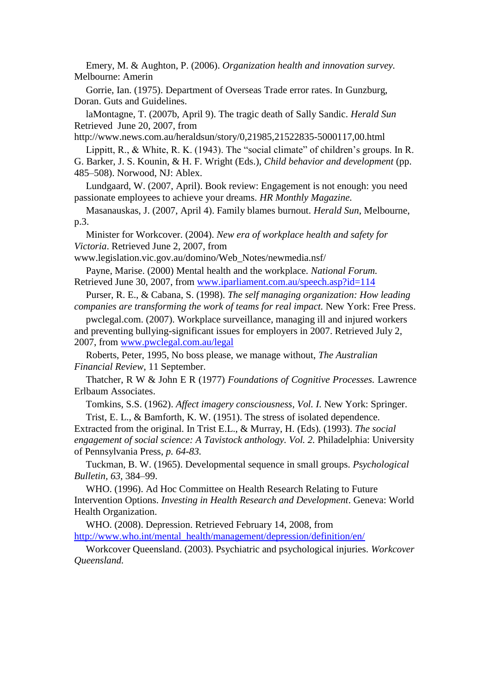Emery, M. & Aughton, P. (2006). *Organization health and innovation survey.* Melbourne: Amerin

Gorrie, Ian. (1975). Department of Overseas Trade error rates. In Gunzburg, Doran. Guts and Guidelines.

laMontagne, T. (2007b, April 9). The tragic death of Sally Sandic. *Herald Sun* Retrieved June 20, 2007, from

http://www.news.com.au/heraldsun/story/0,21985,21522835-5000117,00.html

Lippitt, R., & White, R. K. (1943). The "social climate" of children's groups. In R. G. Barker, J. S. Kounin, & H. F. Wright (Eds.), *Child behavior and development* (pp. 485–508). Norwood, NJ: Ablex.

Lundgaard, W. (2007, April). Book review: Engagement is not enough: you need passionate employees to achieve your dreams. *HR Monthly Magazine.*

Masanauskas, J. (2007, April 4). Family blames burnout. *Herald Sun*, Melbourne, p.3.

Minister for Workcover. (2004). *New era of workplace health and safety for Victoria*. Retrieved June 2, 2007, from

www.legislation.vic.gov.au/domino/Web\_Notes/newmedia.nsf/

Payne, Marise. (2000) Mental health and the workplace. *National Forum.*  Retrieved June 30, 2007, from [www.iparliament.com.au/speech.asp?id=114](http://www.iparliament.com.au/speech.asp?id=114)

Purser, R. E., & Cabana, S. (1998). *The self managing organization: How leading companies are transforming the work of teams for real impact.* New York: Free Press.

pwclegal.com. (2007). Workplace surveillance, managing ill and injured workers and preventing bullying-significant issues for employers in 2007. Retrieved July 2, 2007, from [www.pwclegal.com.au/legal](http://www.pwclegal.com.au/legal)

Roberts, Peter, 1995, No boss please, we manage without, *The Australian Financial Review*, 11 September.

Thatcher, R W & John E R (1977) *Foundations of Cognitive Processes.* Lawrence Erlbaum Associates.

Tomkins, S.S. (1962). *Affect imagery consciousness, Vol. I.* New York: Springer.

Trist, E. L., & Bamforth, K. W. (1951). The stress of isolated dependence. Extracted from the original. In Trist E.L., & Murray, H. (Eds). (1993). *The social engagement of social science: A Tavistock anthology. Vol. 2.* Philadelphia: University of Pennsylvania Press, *p. 64-83.*

Tuckman, B. W. (1965). Developmental sequence in small groups. *Psychological Bulletin, 63,* 384–99.

WHO. (1996). Ad Hoc Committee on Health Research Relating to Future Intervention Options. *Investing in Health Research and Development*. Geneva: World Health Organization.

WHO. (2008). Depression. Retrieved February 14, 2008, from [http://www.who.int/mental\\_health/management/depression/definition/en/](http://www.who.int/mental_health/management/depression/definition/en/)

Workcover Queensland. (2003). Psychiatric and psychological injuries. *Workcover Queensland.*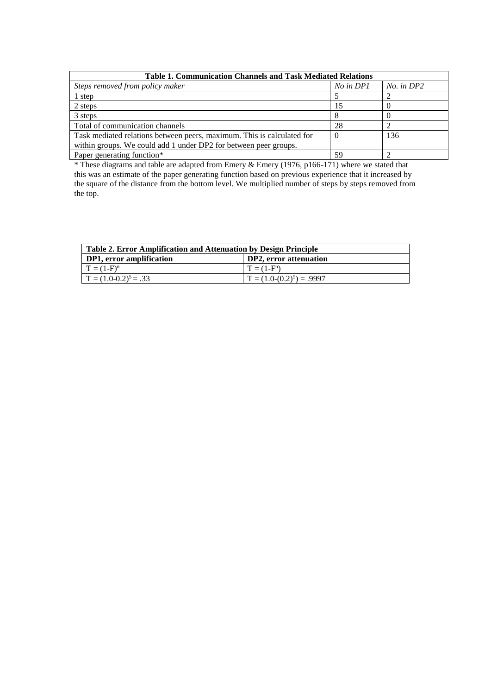| <b>Table 1. Communication Channels and Task Mediated Relations</b>     |           |                |  |
|------------------------------------------------------------------------|-----------|----------------|--|
| Steps removed from policy maker                                        | No in DP1 | $No.$ in $DP2$ |  |
| 1 step                                                                 |           |                |  |
| 2 steps                                                                | 15        |                |  |
| 3 steps                                                                |           |                |  |
| Total of communication channels                                        | 28        |                |  |
| Task mediated relations between peers, maximum. This is calculated for | $\theta$  | 136            |  |
| within groups. We could add 1 under DP2 for between peer groups.       |           |                |  |
| Paper generating function*                                             | 59        |                |  |

\* These diagrams and table are adapted from Emery & Emery (1976, p166-171) where we stated that this was an estimate of the paper generating function based on previous experience that it increased by the square of the distance from the bottom level. We multiplied number of steps by steps removed from the top.

| Table 2. Error Amplification and Attenuation by Design Principle |                             |  |
|------------------------------------------------------------------|-----------------------------|--|
| DP1, error amplification                                         | DP2, error attenuation      |  |
| $T = (1 - F)^n$                                                  | $T = (1 - F^n)$             |  |
| $T = (1.0-0.2)^5 = .33$                                          | $T = (1.0-(0.2)^5) = .9997$ |  |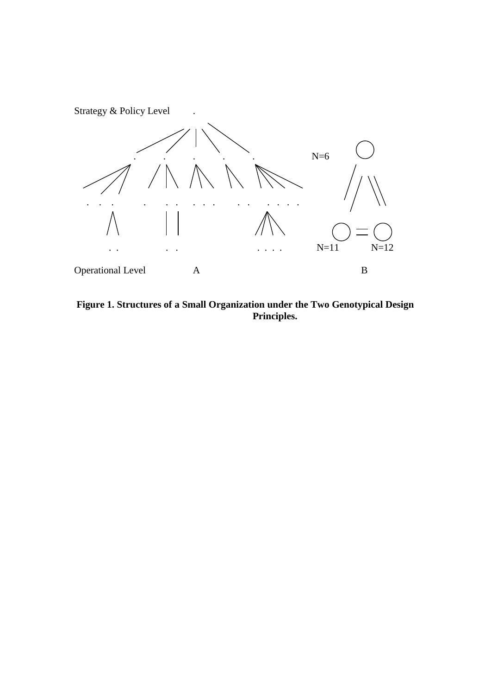

**Figure 1. Structures of a Small Organization under the Two Genotypical Design Principles.**